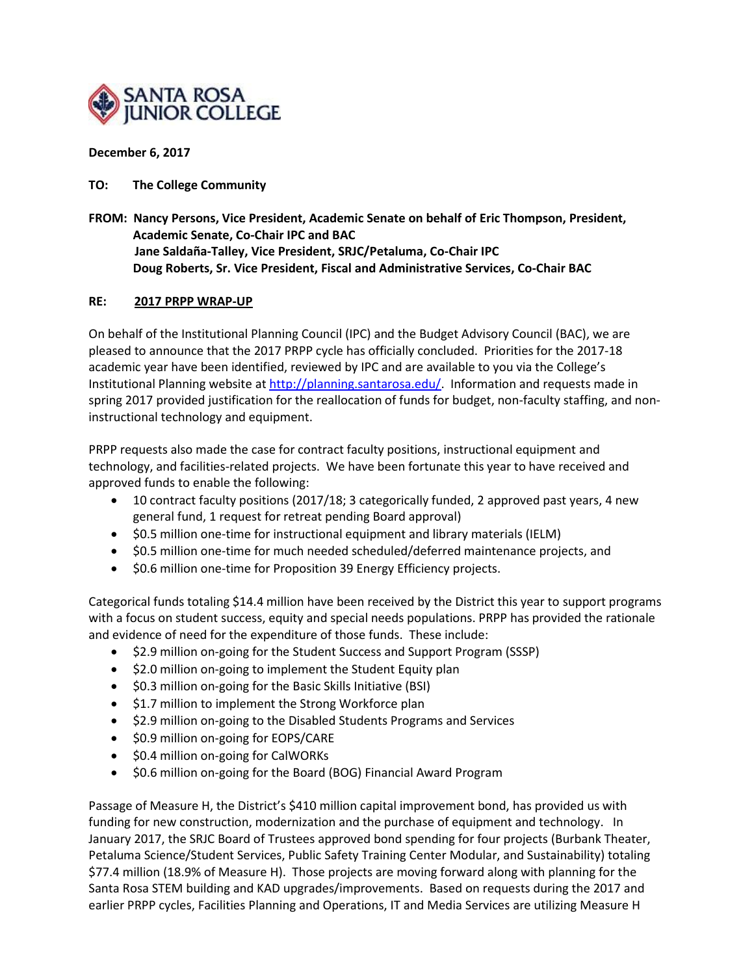

## **December 6, 2017**

## **TO: The College Community**

**FROM: Nancy Persons, Vice President, Academic Senate on behalf of Eric Thompson, President, Academic Senate, Co-Chair IPC and BAC Jane Saldaña-Talley, Vice President, SRJC/Petaluma, Co-Chair IPC Doug Roberts, Sr. Vice President, Fiscal and Administrative Services, Co-Chair BAC**

## **RE: 2017 PRPP WRAP-UP**

On behalf of the Institutional Planning Council (IPC) and the Budget Advisory Council (BAC), we are pleased to announce that the 2017 PRPP cycle has officially concluded. Priorities for the 2017-18 academic year have been identified, reviewed by IPC and are available to you via the College's Institutional Planning website a[t http://planning.santarosa.edu/.](http://planning.santarosa.edu/) Information and requests made in spring 2017 provided justification for the reallocation of funds for budget, non-faculty staffing, and noninstructional technology and equipment.

PRPP requests also made the case for contract faculty positions, instructional equipment and technology, and facilities-related projects. We have been fortunate this year to have received and approved funds to enable the following:

- 10 contract faculty positions (2017/18; 3 categorically funded, 2 approved past years, 4 new general fund, 1 request for retreat pending Board approval)
- \$0.5 million one-time for instructional equipment and library materials (IELM)
- \$0.5 million one-time for much needed scheduled/deferred maintenance projects, and
- \$0.6 million one-time for Proposition 39 Energy Efficiency projects.

Categorical funds totaling \$14.4 million have been received by the District this year to support programs with a focus on student success, equity and special needs populations. PRPP has provided the rationale and evidence of need for the expenditure of those funds. These include:

- \$2.9 million on-going for the Student Success and Support Program (SSSP)
- \$2.0 million on-going to implement the Student Equity plan
- \$0.3 million on-going for the Basic Skills Initiative (BSI)
- \$1.7 million to implement the Strong Workforce plan
- \$2.9 million on-going to the Disabled Students Programs and Services
- \$0.9 million on-going for EOPS/CARE
- \$0.4 million on-going for CalWORKs
- \$0.6 million on-going for the Board (BOG) Financial Award Program

Passage of Measure H, the District's \$410 million capital improvement bond, has provided us with funding for new construction, modernization and the purchase of equipment and technology. In January 2017, the SRJC Board of Trustees approved bond spending for four projects (Burbank Theater, Petaluma Science/Student Services, Public Safety Training Center Modular, and Sustainability) totaling \$77.4 million (18.9% of Measure H). Those projects are moving forward along with planning for the Santa Rosa STEM building and KAD upgrades/improvements. Based on requests during the 2017 and earlier PRPP cycles, Facilities Planning and Operations, IT and Media Services are utilizing Measure H